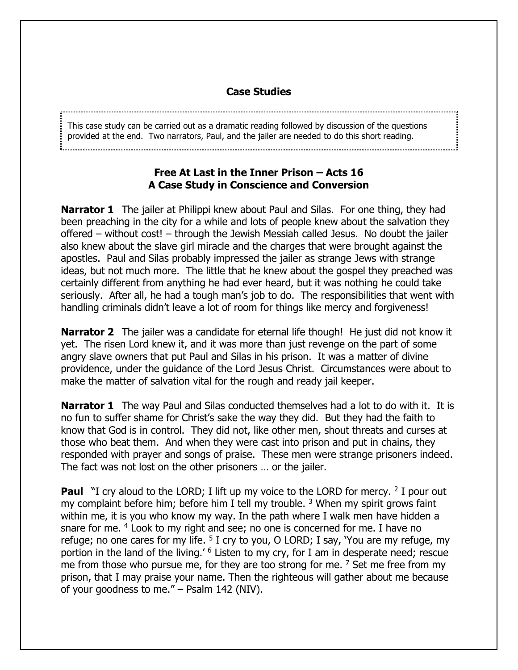## **Case Studies**

This case study can be carried out as a dramatic reading followed by discussion of the questions provided at the end. Two narrators, Paul, and the jailer are needed to do this short reading.

## **Free At Last in the Inner Prison – Acts 16 A Case Study in Conscience and Conversion**

**Narrator 1** The jailer at Philippi knew about Paul and Silas. For one thing, they had been preaching in the city for a while and lots of people knew about the salvation they offered – without cost! – through the Jewish Messiah called Jesus. No doubt the jailer also knew about the slave girl miracle and the charges that were brought against the apostles. Paul and Silas probably impressed the jailer as strange Jews with strange ideas, but not much more. The little that he knew about the gospel they preached was certainly different from anything he had ever heard, but it was nothing he could take seriously. After all, he had a tough man's job to do. The responsibilities that went with handling criminals didn't leave a lot of room for things like mercy and forgiveness!

**Narrator 2** The jailer was a candidate for eternal life though! He just did not know it yet. The risen Lord knew it, and it was more than just revenge on the part of some angry slave owners that put Paul and Silas in his prison. It was a matter of divine providence, under the guidance of the Lord Jesus Christ. Circumstances were about to make the matter of salvation vital for the rough and ready jail keeper.

**Narrator 1** The way Paul and Silas conducted themselves had a lot to do with it. It is no fun to suffer shame for Christ's sake the way they did. But they had the faith to know that God is in control. They did not, like other men, shout threats and curses at those who beat them. And when they were cast into prison and put in chains, they responded with prayer and songs of praise. These men were strange prisoners indeed. The fact was not lost on the other prisoners … or the jailer.

**Paul** "I cry aloud to the LORD; I lift up my voice to the LORD for mercy. <sup>2</sup> I pour out my complaint before him; before him I tell my trouble.  $3$  When my spirit grows faint within me, it is you who know my way. In the path where I walk men have hidden a snare for me. <sup>4</sup> Look to my right and see; no one is concerned for me. I have no refuge; no one cares for my life.  $5$  I cry to you, O LORD; I say, 'You are my refuge, my portion in the land of the living.' <sup>6</sup> Listen to my cry, for I am in desperate need; rescue me from those who pursue me, for they are too strong for me.  $<sup>7</sup>$  Set me free from my</sup> prison, that I may praise your name. Then the righteous will gather about me because of your goodness to me." – Psalm 142 (NIV).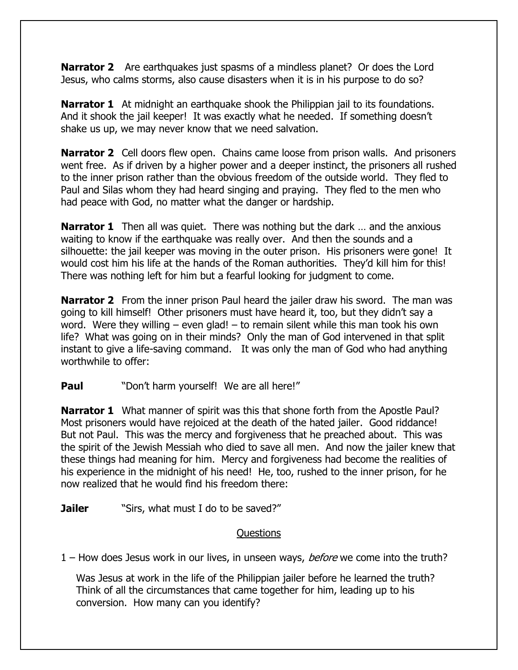**Narrator 2** Are earthquakes just spasms of a mindless planet? Or does the Lord Jesus, who calms storms, also cause disasters when it is in his purpose to do so?

**Narrator 1** At midnight an earthquake shook the Philippian jail to its foundations. And it shook the jail keeper! It was exactly what he needed. If something doesn't shake us up, we may never know that we need salvation.

**Narrator 2** Cell doors flew open. Chains came loose from prison walls. And prisoners went free. As if driven by a higher power and a deeper instinct, the prisoners all rushed to the inner prison rather than the obvious freedom of the outside world. They fled to Paul and Silas whom they had heard singing and praying. They fled to the men who had peace with God, no matter what the danger or hardship.

**Narrator 1** Then all was quiet. There was nothing but the dark ... and the anxious waiting to know if the earthquake was really over. And then the sounds and a silhouette: the jail keeper was moving in the outer prison. His prisoners were gone! It would cost him his life at the hands of the Roman authorities. They'd kill him for this! There was nothing left for him but a fearful looking for judgment to come.

**Narrator 2** From the inner prison Paul heard the jailer draw his sword. The man was going to kill himself! Other prisoners must have heard it, too, but they didn't say a word. Were they willing  $-$  even glad!  $-$  to remain silent while this man took his own life? What was going on in their minds? Only the man of God intervened in that split instant to give a life-saving command. It was only the man of God who had anything worthwhile to offer:

**Paul** "Don't harm yourself! We are all here!"

**Narrator 1** What manner of spirit was this that shone forth from the Apostle Paul? Most prisoners would have rejoiced at the death of the hated jailer. Good riddance! But not Paul. This was the mercy and forgiveness that he preached about. This was the spirit of the Jewish Messiah who died to save all men. And now the jailer knew that these things had meaning for him. Mercy and forgiveness had become the realities of his experience in the midnight of his need! He, too, rushed to the inner prison, for he now realized that he would find his freedom there:

**Jailer** "Sirs, what must I do to be saved?"

## Questions

1 – How does Jesus work in our lives, in unseen ways, *before* we come into the truth?

Was Jesus at work in the life of the Philippian jailer before he learned the truth? Think of all the circumstances that came together for him, leading up to his conversion. How many can you identify?